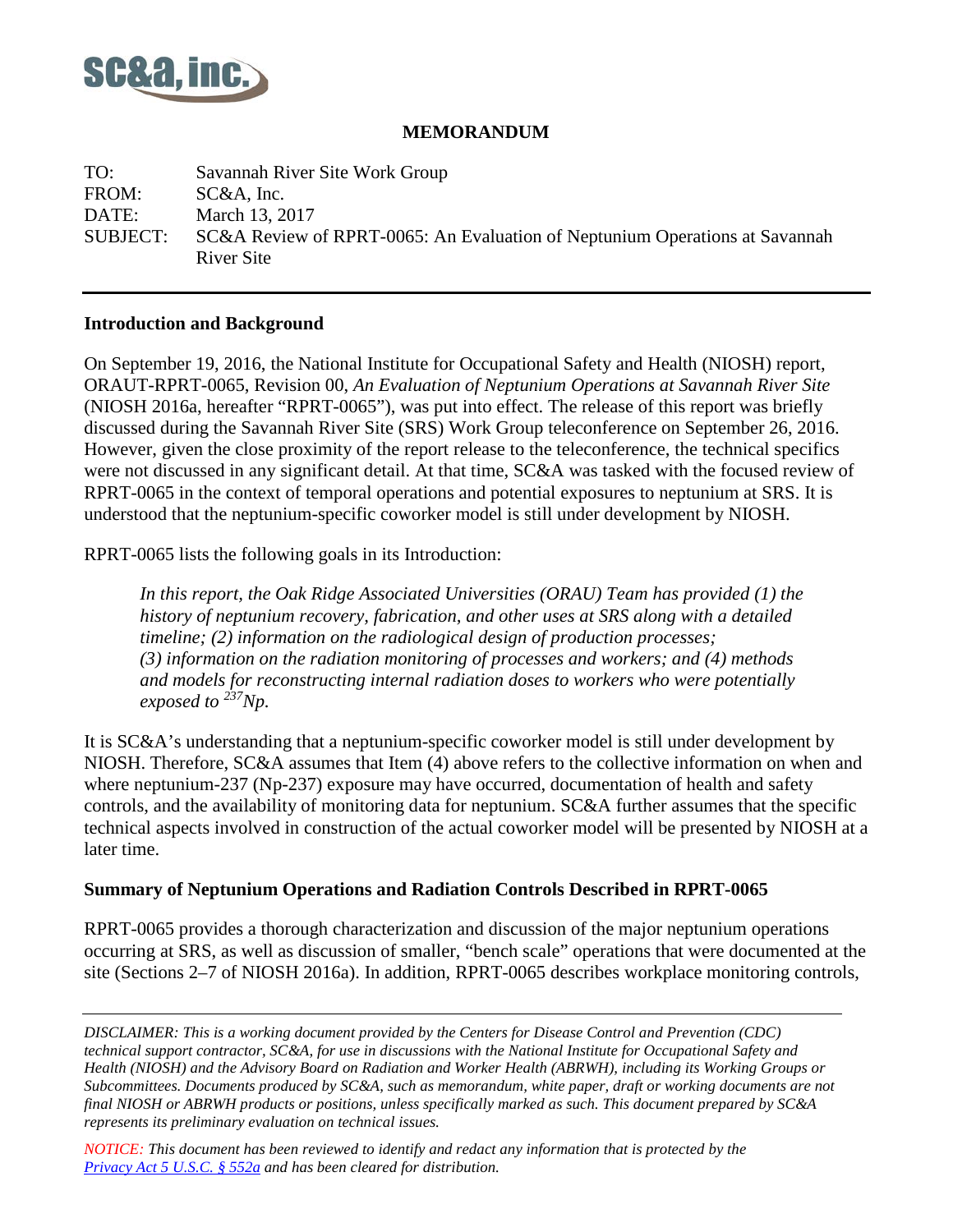

## **MEMORANDUM**

TO: Savannah River Site Work Group FROM: SC&A, Inc. DATE: March 13, 2017 SUBJECT: SC&A Review of RPRT-0065: An Evaluation of Neptunium Operations at Savannah River Site

#### **Introduction and Background**

On September 19, 2016, the National Institute for Occupational Safety and Health (NIOSH) report, ORAUT-RPRT-0065, Revision 00, *An Evaluation of Neptunium Operations at Savannah River Site* (NIOSH 2016a, hereafter "RPRT-0065"), was put into effect. The release of this report was briefly discussed during the Savannah River Site (SRS) Work Group teleconference on September 26, 2016. However, given the close proximity of the report release to the teleconference, the technical specifics were not discussed in any significant detail. At that time, SC&A was tasked with the focused review of RPRT-0065 in the context of temporal operations and potential exposures to neptunium at SRS. It is understood that the neptunium-specific coworker model is still under development by NIOSH.

RPRT-0065 lists the following goals in its Introduction:

*In this report, the Oak Ridge Associated Universities (ORAU) Team has provided (1) the history of neptunium recovery, fabrication, and other uses at SRS along with a detailed timeline; (2) information on the radiological design of production processes; (3) information on the radiation monitoring of processes and workers; and (4) methods and models for reconstructing internal radiation doses to workers who were potentially exposed to 237Np.* 

It is SC&A's understanding that a neptunium-specific coworker model is still under development by NIOSH. Therefore, SC&A assumes that Item (4) above refers to the collective information on when and where neptunium-237 (Np-237) exposure may have occurred, documentation of health and safety controls, and the availability of monitoring data for neptunium. SC&A further assumes that the specific technical aspects involved in construction of the actual coworker model will be presented by NIOSH at a later time.

# **Summary of Neptunium Operations and Radiation Controls Described in RPRT-0065**

RPRT-0065 provides a thorough characterization and discussion of the major neptunium operations occurring at SRS, as well as discussion of smaller, "bench scale" operations that were documented at the site (Sections 2–7 of NIOSH 2016a). In addition, RPRT-0065 describes workplace monitoring controls,

*DISCLAIMER: This is a working document provided by the Centers for Disease Control and Prevention (CDC) technical support contractor, SC&A, for use in discussions with the National Institute for Occupational Safety and Health (NIOSH) and the Advisory Board on Radiation and Worker Health (ABRWH), including its Working Groups or Subcommittees. Documents produced by SC&A, such as memorandum, white paper, draft or working documents are not final NIOSH or ABRWH products or positions, unless specifically marked as such. This document prepared by SC&A represents its preliminary evaluation on technical issues.*

*NOTICE: This document has been reviewed to identify and redact any information that is protected by the Privacy [Act 5 U.S.C. § 552a](http://www.justice.gov/opcl/privacy-act-1974) and has been cleared for distribution.*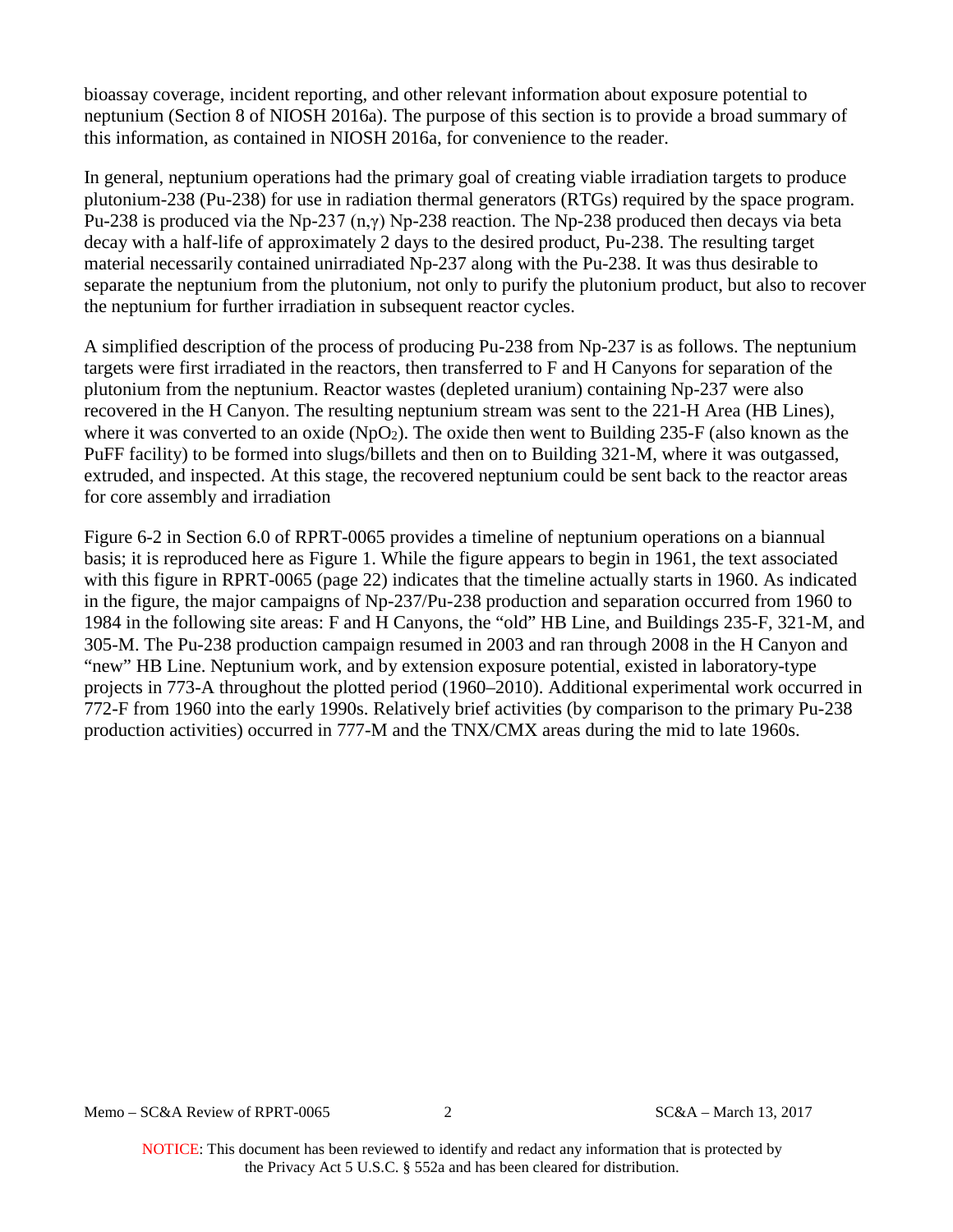bioassay coverage, incident reporting, and other relevant information about exposure potential to neptunium (Section 8 of NIOSH 2016a). The purpose of this section is to provide a broad summary of this information, as contained in NIOSH 2016a, for convenience to the reader.

In general, neptunium operations had the primary goal of creating viable irradiation targets to produce plutonium-238 (Pu-238) for use in radiation thermal generators (RTGs) required by the space program. Pu-238 is produced via the Np-237 (n,γ) Np-238 reaction. The Np-238 produced then decays via beta decay with a half-life of approximately 2 days to the desired product, Pu-238. The resulting target material necessarily contained unirradiated Np-237 along with the Pu-238. It was thus desirable to separate the neptunium from the plutonium, not only to purify the plutonium product, but also to recover the neptunium for further irradiation in subsequent reactor cycles.

A simplified description of the process of producing Pu-238 from Np-237 is as follows. The neptunium targets were first irradiated in the reactors, then transferred to F and H Canyons for separation of the plutonium from the neptunium. Reactor wastes (depleted uranium) containing Np-237 were also recovered in the H Canyon. The resulting neptunium stream was sent to the 221-H Area (HB Lines), where it was converted to an oxide  $(NpO<sub>2</sub>)$ . The oxide then went to Building 235-F (also known as the PuFF facility) to be formed into slugs/billets and then on to Building 321-M, where it was outgassed, extruded, and inspected. At this stage, the recovered neptunium could be sent back to the reactor areas for core assembly and irradiation

Figure 6-2 in Section 6.0 of RPRT-0065 provides a timeline of neptunium operations on a biannual basis; it is reproduced here as Figure 1. While the figure appears to begin in 1961, the text associated with this figure in RPRT-0065 (page 22) indicates that the timeline actually starts in 1960. As indicated in the figure, the major campaigns of Np-237/Pu-238 production and separation occurred from 1960 to 1984 in the following site areas: F and H Canyons, the "old" HB Line, and Buildings 235-F, 321-M, and 305-M. The Pu-238 production campaign resumed in 2003 and ran through 2008 in the H Canyon and "new" HB Line. Neptunium work, and by extension exposure potential, existed in laboratory-type projects in 773-A throughout the plotted period (1960–2010). Additional experimental work occurred in 772-F from 1960 into the early 1990s. Relatively brief activities (by comparison to the primary Pu-238 production activities) occurred in 777-M and the TNX/CMX areas during the mid to late 1960s.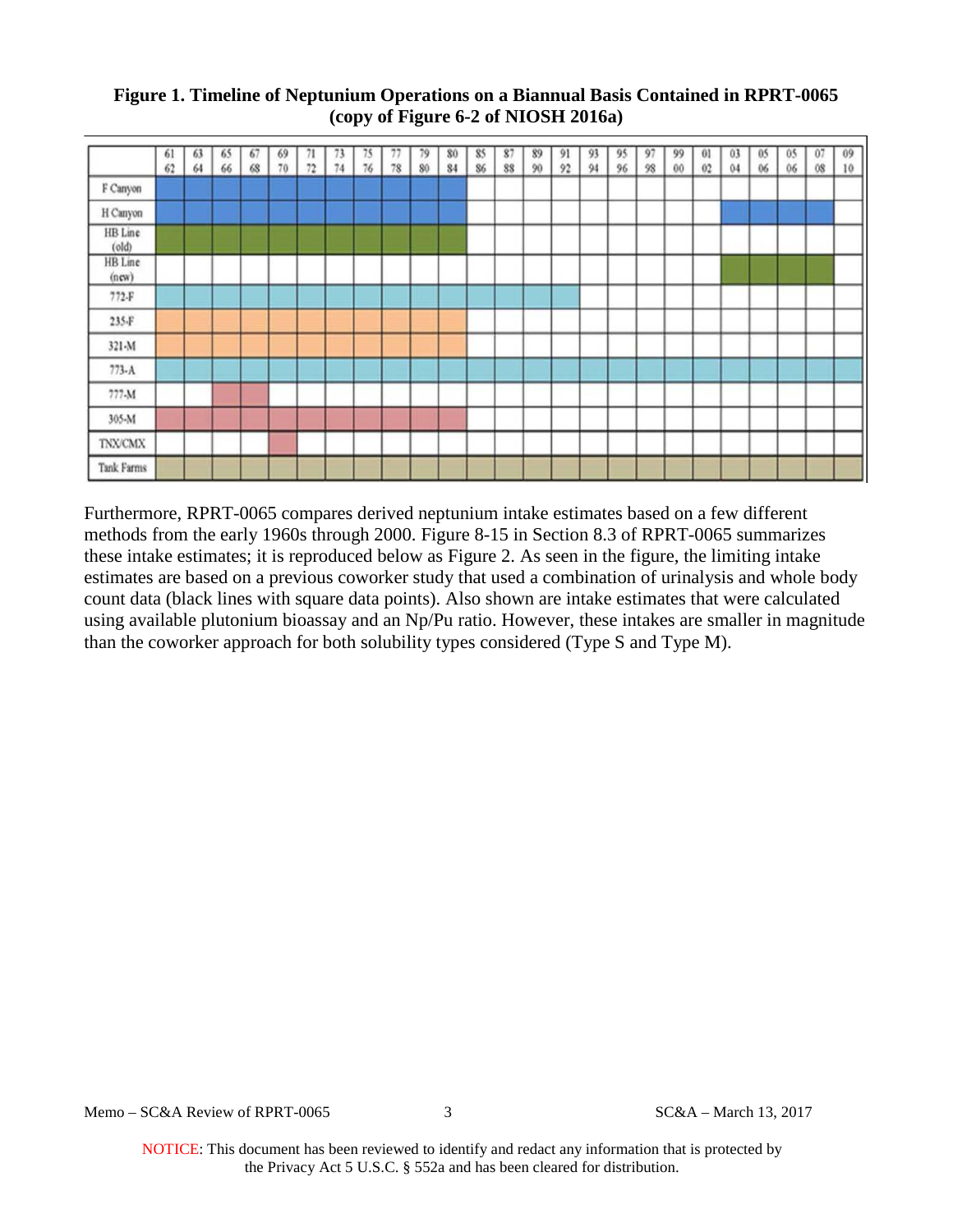## **Figure 1. Timeline of Neptunium Operations on a Biannual Basis Contained in RPRT-0065 (copy of Figure 6-2 of NIOSH 2016a)**

|                                   | 61<br>62 | 63<br>64 | 65<br>66 | 67<br>68 | 69<br>70 | 71<br>72 | 73<br>74 | 75<br>76 | $-1$<br>78 | 79<br>80 | 80<br>84 | 85<br>86 | 87<br>88 | 89<br>90 | 91<br>92 | 93<br>94 | 95<br>96 | 97<br>98 | 99<br>00 | 01<br>02 | 03<br>04 | 05<br>06 | 05<br>06 | 07<br>$08$ | 09<br>10 |
|-----------------------------------|----------|----------|----------|----------|----------|----------|----------|----------|------------|----------|----------|----------|----------|----------|----------|----------|----------|----------|----------|----------|----------|----------|----------|------------|----------|
| F Canyon                          |          |          |          |          |          |          |          |          |            |          |          |          |          |          |          |          |          |          |          |          |          |          |          |            |          |
| H Canyon                          |          |          |          |          |          |          |          |          |            |          |          |          |          |          |          |          |          |          |          |          |          |          |          |            |          |
| HB Line<br>$\left($ old $\right)$ |          |          |          |          |          |          |          |          |            |          |          |          |          |          |          |          |          |          |          |          |          |          |          |            |          |
| HB Line<br>(new)                  |          |          |          |          |          |          |          |          |            |          |          |          |          |          |          |          |          |          |          |          |          |          |          |            |          |
| $772-F$                           |          |          |          |          |          |          |          |          |            |          |          |          |          |          |          |          |          |          |          |          |          |          |          |            |          |
| 235-F                             |          |          |          |          |          |          |          |          |            |          |          |          |          |          |          |          |          |          |          |          |          |          |          |            |          |
| 321-M                             |          |          |          |          |          |          |          |          |            |          |          |          |          |          |          |          |          |          |          |          |          |          |          |            |          |
| $773 - A$                         |          |          |          |          |          |          |          |          |            |          |          |          |          |          |          |          |          |          |          |          |          |          |          |            |          |
| 777-M                             |          |          |          |          |          |          |          |          |            |          |          |          |          |          |          |          |          |          |          |          |          |          |          |            |          |
| 305-M                             |          |          |          |          |          |          |          |          |            |          |          |          |          |          |          |          |          |          |          |          |          |          |          |            |          |
| <b>TNX/CMX</b>                    |          |          |          |          |          |          |          |          |            |          |          |          |          |          |          |          |          |          |          |          |          |          |          |            |          |
| <b>Tank Farms</b>                 |          |          |          |          |          |          |          |          |            |          |          |          |          |          |          |          |          |          |          |          |          |          |          |            |          |

Furthermore, RPRT-0065 compares derived neptunium intake estimates based on a few different methods from the early 1960s through 2000. Figure 8-15 in Section 8.3 of RPRT-0065 summarizes these intake estimates; it is reproduced below as Figure 2. As seen in the figure, the limiting intake estimates are based on a previous coworker study that used a combination of urinalysis and whole body count data (black lines with square data points). Also shown are intake estimates that were calculated using available plutonium bioassay and an Np/Pu ratio. However, these intakes are smaller in magnitude than the coworker approach for both solubility types considered (Type S and Type M).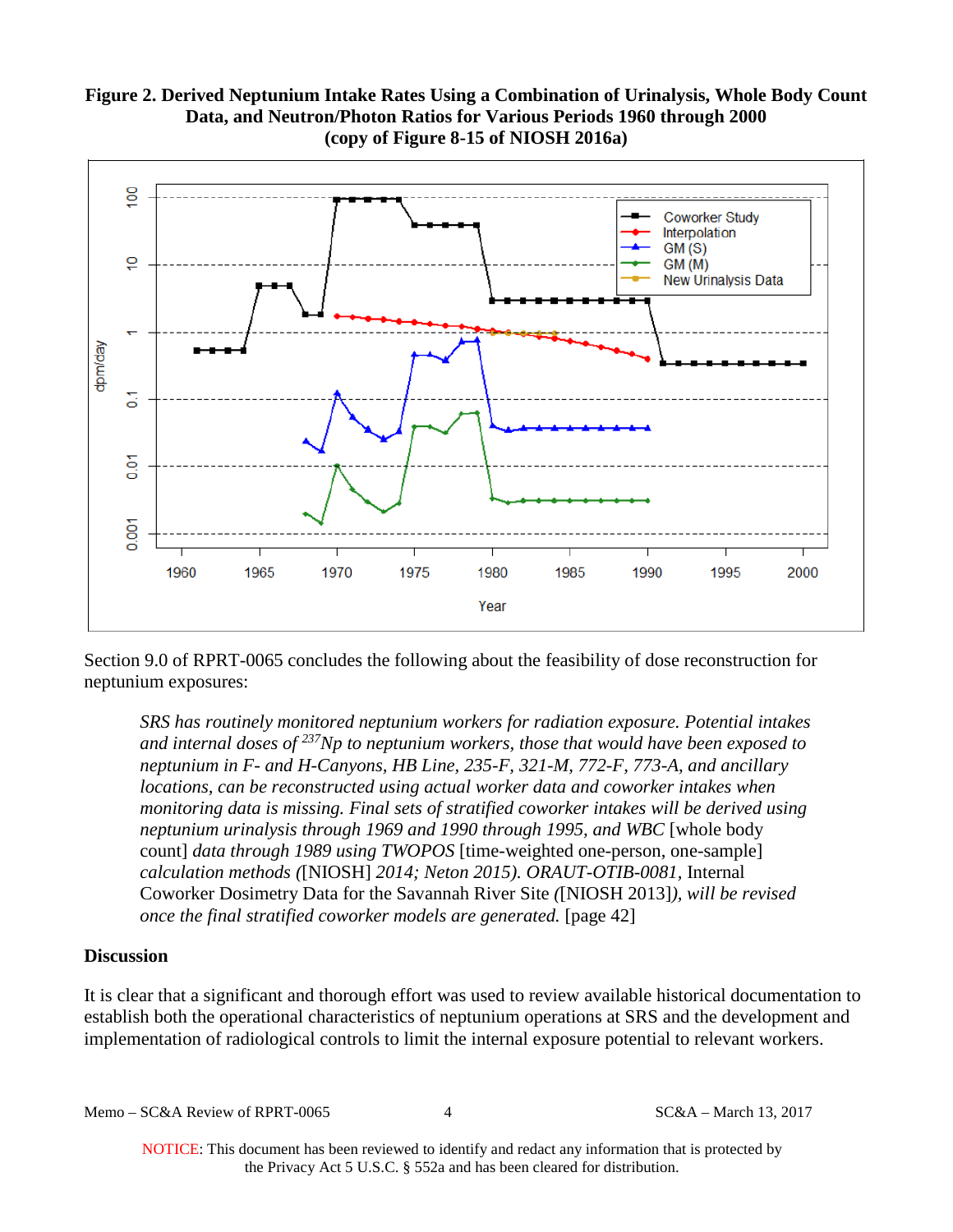## **Figure 2. Derived Neptunium Intake Rates Using a Combination of Urinalysis, Whole Body Count Data, and Neutron/Photon Ratios for Various Periods 1960 through 2000 (copy of Figure 8-15 of NIOSH 2016a)**



Section 9.0 of RPRT-0065 concludes the following about the feasibility of dose reconstruction for neptunium exposures:

*SRS has routinely monitored neptunium workers for radiation exposure. Potential intakes and internal doses of 237Np to neptunium workers, those that would have been exposed to neptunium in F- and H-Canyons, HB Line, 235-F, 321-M, 772-F, 773-A, and ancillary locations, can be reconstructed using actual worker data and coworker intakes when monitoring data is missing. Final sets of stratified coworker intakes will be derived using neptunium urinalysis through 1969 and 1990 through 1995, and WBC* [whole body count] *data through 1989 using TWOPOS* [time-weighted one-person, one-sample] *calculation methods (*[NIOSH] *2014; Neton 2015). ORAUT-OTIB-0081,* Internal Coworker Dosimetry Data for the Savannah River Site *(*[NIOSH 2013]*), will be revised once the final stratified coworker models are generated.* [page 42]

#### **Discussion**

It is clear that a significant and thorough effort was used to review available historical documentation to establish both the operational characteristics of neptunium operations at SRS and the development and implementation of radiological controls to limit the internal exposure potential to relevant workers.

Memo – SC&A Review of RPRT-0065 4 SC&A – March 13, 2017

NOTICE: This document has been reviewed to identify and redact any information that is protected by the Privacy Act 5 U.S.C. § 552a and has been cleared for distribution.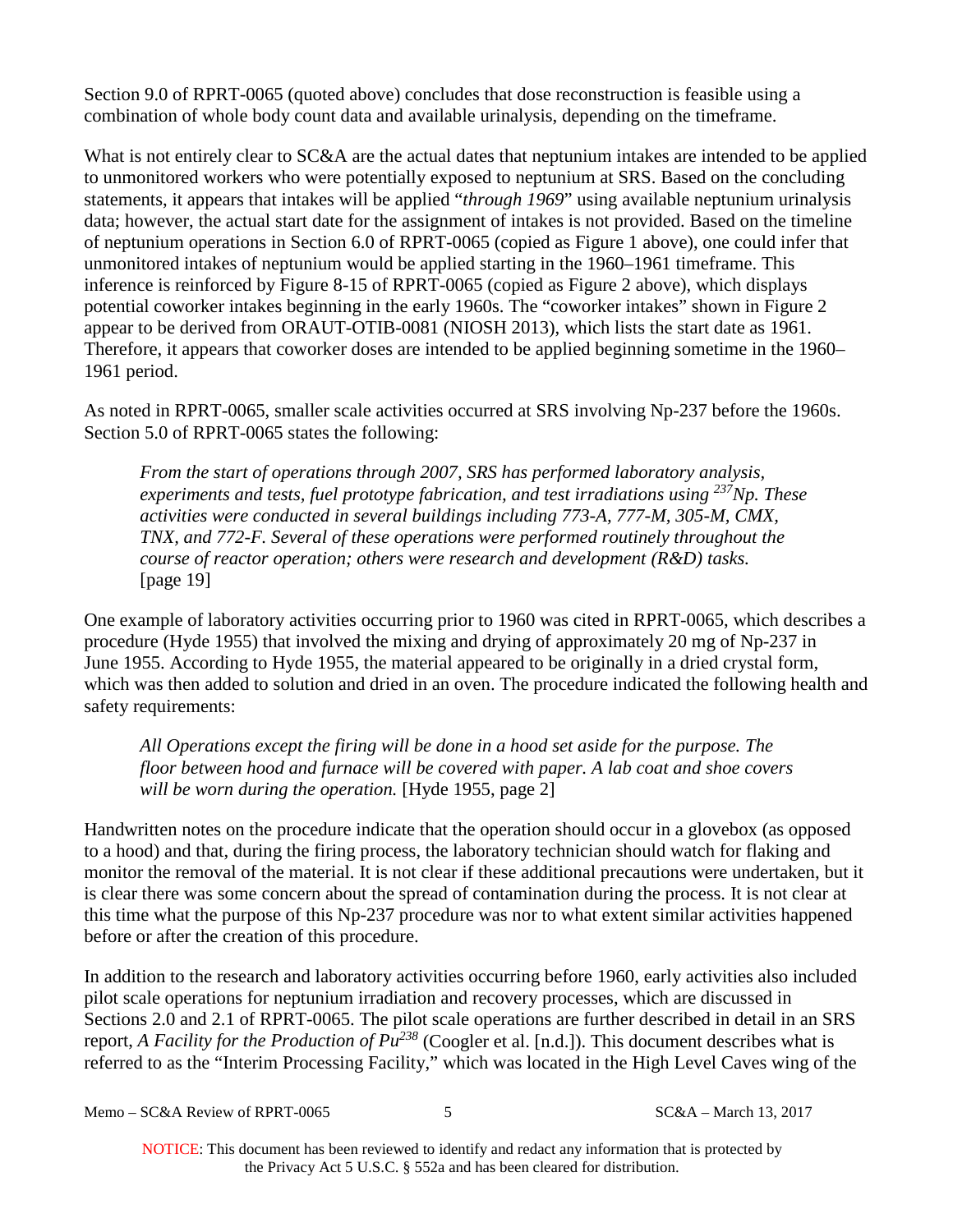Section 9.0 of RPRT-0065 (quoted above) concludes that dose reconstruction is feasible using a combination of whole body count data and available urinalysis, depending on the timeframe.

What is not entirely clear to SC&A are the actual dates that neptunium intakes are intended to be applied to unmonitored workers who were potentially exposed to neptunium at SRS. Based on the concluding statements, it appears that intakes will be applied "*through 1969*" using available neptunium urinalysis data; however, the actual start date for the assignment of intakes is not provided. Based on the timeline of neptunium operations in Section 6.0 of RPRT-0065 (copied as Figure 1 above), one could infer that unmonitored intakes of neptunium would be applied starting in the 1960–1961 timeframe. This inference is reinforced by Figure 8-15 of RPRT-0065 (copied as Figure 2 above), which displays potential coworker intakes beginning in the early 1960s. The "coworker intakes" shown in Figure 2 appear to be derived from ORAUT-OTIB-0081 (NIOSH 2013), which lists the start date as 1961. Therefore, it appears that coworker doses are intended to be applied beginning sometime in the 1960– 1961 period.

As noted in RPRT-0065, smaller scale activities occurred at SRS involving Np-237 before the 1960s. Section 5.0 of RPRT-0065 states the following:

*From the start of operations through 2007, SRS has performed laboratory analysis, experiments and tests, fuel prototype fabrication, and test irradiations using 237Np. These activities were conducted in several buildings including 773-A, 777-M, 305-M, CMX, TNX, and 772-F. Several of these operations were performed routinely throughout the course of reactor operation; others were research and development (R&D) tasks.*  [page 19]

One example of laboratory activities occurring prior to 1960 was cited in RPRT-0065, which describes a procedure (Hyde 1955) that involved the mixing and drying of approximately 20 mg of Np-237 in June 1955. According to Hyde 1955, the material appeared to be originally in a dried crystal form, which was then added to solution and dried in an oven. The procedure indicated the following health and safety requirements:

*All Operations except the firing will be done in a hood set aside for the purpose. The floor between hood and furnace will be covered with paper. A lab coat and shoe covers will be worn during the operation.* [Hyde 1955, page 2]

Handwritten notes on the procedure indicate that the operation should occur in a glovebox (as opposed to a hood) and that, during the firing process, the laboratory technician should watch for flaking and monitor the removal of the material. It is not clear if these additional precautions were undertaken, but it is clear there was some concern about the spread of contamination during the process. It is not clear at this time what the purpose of this Np-237 procedure was nor to what extent similar activities happened before or after the creation of this procedure.

In addition to the research and laboratory activities occurring before 1960, early activities also included pilot scale operations for neptunium irradiation and recovery processes, which are discussed in Sections 2.0 and 2.1 of RPRT-0065. The pilot scale operations are further described in detail in an SRS report, *A Facility for the Production of Pu<sup>238</sup>* (Coogler et al. [n.d.]). This document describes what is referred to as the "Interim Processing Facility," which was located in the High Level Caves wing of the

Memo – SC&A Review of RPRT-0065 5 SC&A – March 13, 2017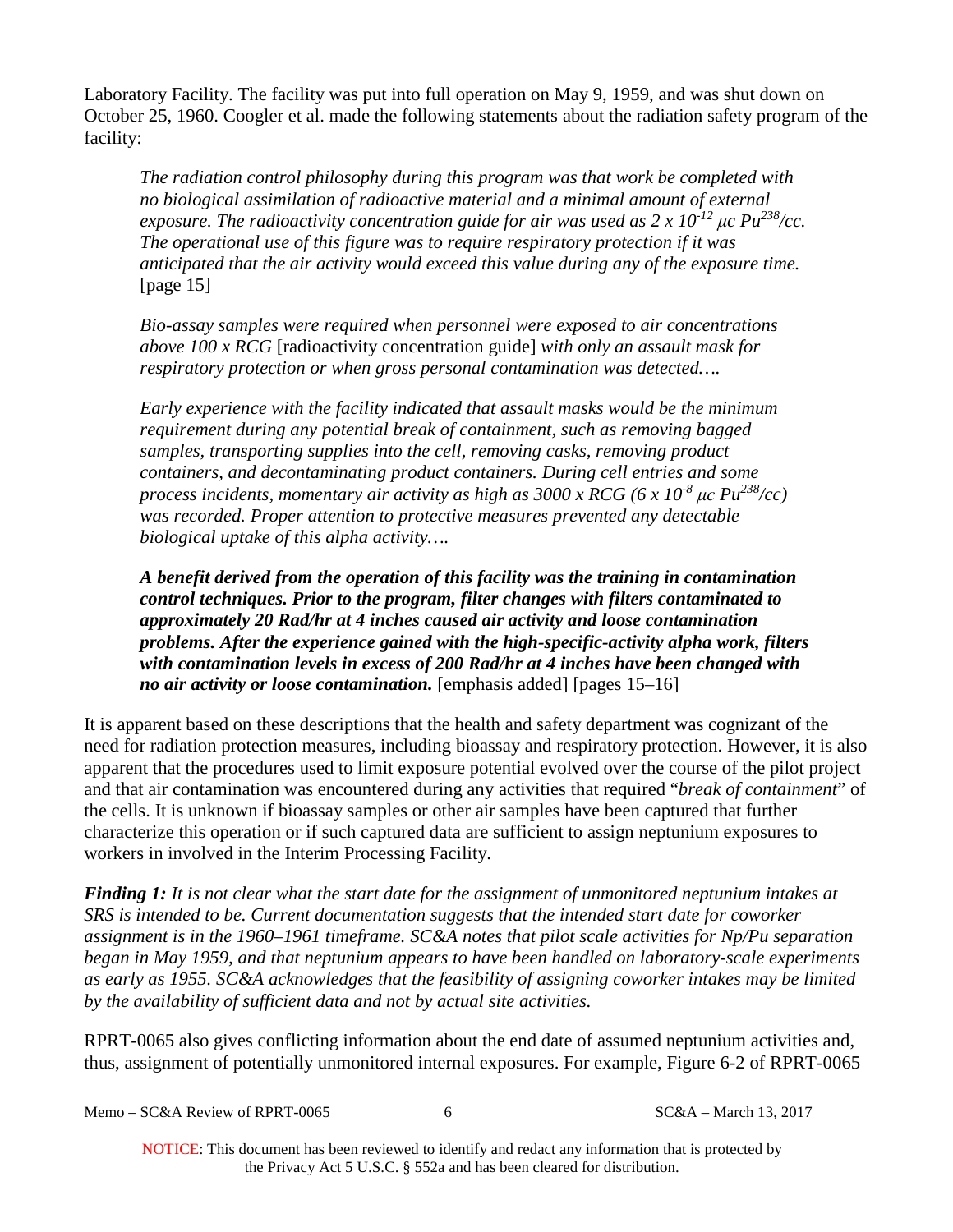Laboratory Facility. The facility was put into full operation on May 9, 1959, and was shut down on October 25, 1960. Coogler et al. made the following statements about the radiation safety program of the facility:

*The radiation control philosophy during this program was that work be completed with no biological assimilation of radioactive material and a minimal amount of external exposure. The radioactivity concentration guide for air was used as 2 x 10-12 μc Pu238/cc. The operational use of this figure was to require respiratory protection if it was anticipated that the air activity would exceed this value during any of the exposure time.*  [page 15]

*Bio-assay samples were required when personnel were exposed to air concentrations above 100 x RCG* [radioactivity concentration guide] *with only an assault mask for respiratory protection or when gross personal contamination was detected….* 

*Early experience with the facility indicated that assault masks would be the minimum requirement during any potential break of containment, such as removing bagged samples, transporting supplies into the cell, removing casks, removing product containers, and decontaminating product containers. During cell entries and some process incidents, momentary air activity as high as 3000 x RCG (6 x 10-8 μc Pu238/cc) was recorded. Proper attention to protective measures prevented any detectable biological uptake of this alpha activity….* 

*A benefit derived from the operation of this facility was the training in contamination control techniques. Prior to the program, filter changes with filters contaminated to approximately 20 Rad/hr at 4 inches caused air activity and loose contamination problems. After the experience gained with the high-specific-activity alpha work, filters with contamination levels in excess of 200 Rad/hr at 4 inches have been changed with no air activity or loose contamination.* [emphasis added] [pages 15–16]

It is apparent based on these descriptions that the health and safety department was cognizant of the need for radiation protection measures, including bioassay and respiratory protection. However, it is also apparent that the procedures used to limit exposure potential evolved over the course of the pilot project and that air contamination was encountered during any activities that required "*break of containment*" of the cells. It is unknown if bioassay samples or other air samples have been captured that further characterize this operation or if such captured data are sufficient to assign neptunium exposures to workers in involved in the Interim Processing Facility.

*Finding 1: It is not clear what the start date for the assignment of unmonitored neptunium intakes at SRS is intended to be. Current documentation suggests that the intended start date for coworker assignment is in the 1960–1961 timeframe. SC&A notes that pilot scale activities for Np/Pu separation began in May 1959, and that neptunium appears to have been handled on laboratory-scale experiments as early as 1955. SC&A acknowledges that the feasibility of assigning coworker intakes may be limited by the availability of sufficient data and not by actual site activities.* 

RPRT-0065 also gives conflicting information about the end date of assumed neptunium activities and, thus, assignment of potentially unmonitored internal exposures. For example, Figure 6-2 of RPRT-0065

Memo – SC&A Review of RPRT-0065 6 6 SC&A – March 13, 2017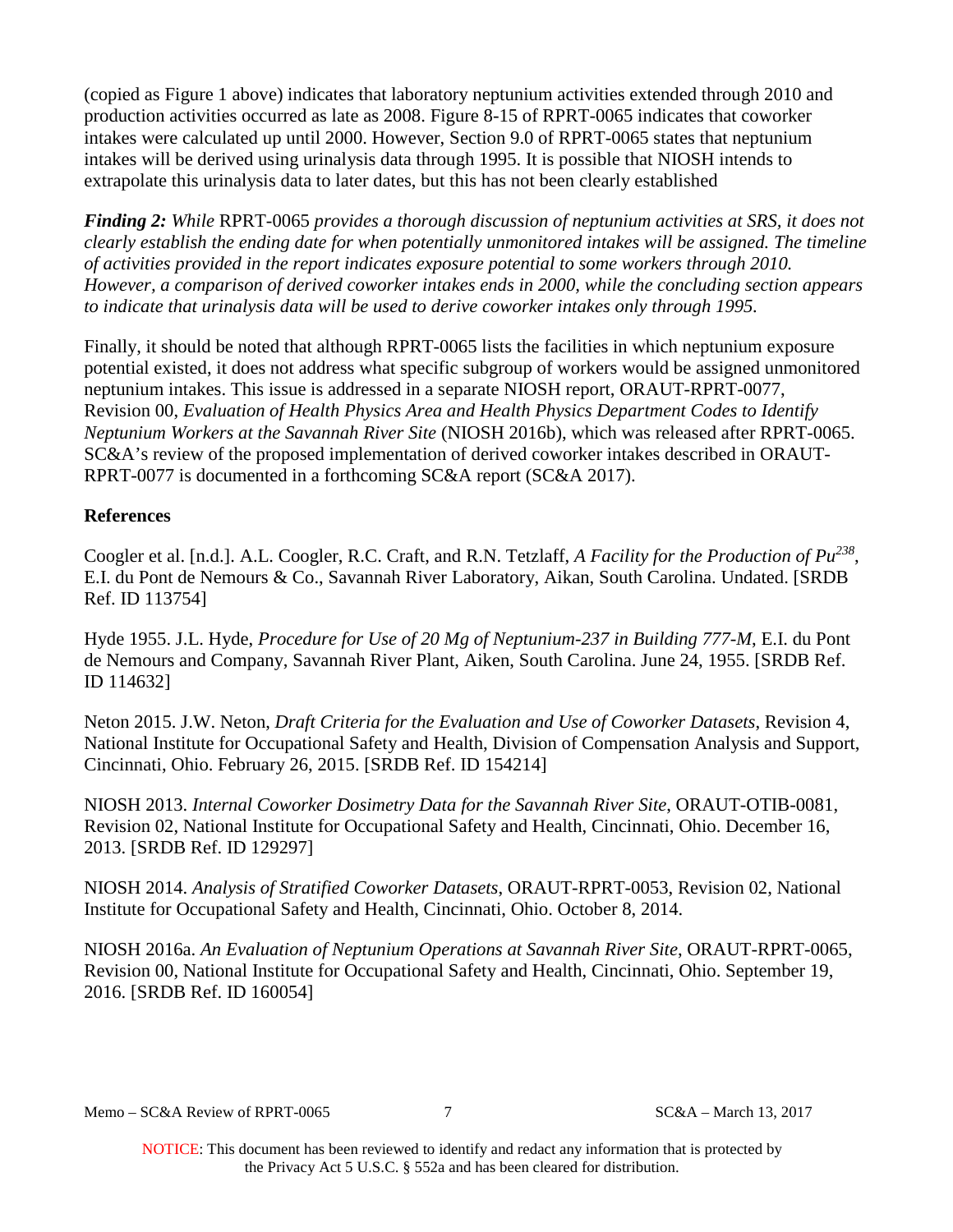(copied as Figure 1 above) indicates that laboratory neptunium activities extended through 2010 and production activities occurred as late as 2008. Figure 8-15 of RPRT-0065 indicates that coworker intakes were calculated up until 2000. However, Section 9.0 of RPRT-0065 states that neptunium intakes will be derived using urinalysis data through 1995. It is possible that NIOSH intends to extrapolate this urinalysis data to later dates, but this has not been clearly established

*Finding 2: While* RPRT-0065 *provides a thorough discussion of neptunium activities at SRS, it does not clearly establish the ending date for when potentially unmonitored intakes will be assigned. The timeline of activities provided in the report indicates exposure potential to some workers through 2010. However, a comparison of derived coworker intakes ends in 2000, while the concluding section appears to indicate that urinalysis data will be used to derive coworker intakes only through 1995.* 

Finally, it should be noted that although RPRT-0065 lists the facilities in which neptunium exposure potential existed, it does not address what specific subgroup of workers would be assigned unmonitored neptunium intakes. This issue is addressed in a separate NIOSH report, ORAUT-RPRT-0077, Revision 00, *Evaluation of Health Physics Area and Health Physics Department Codes to Identify Neptunium Workers at the Savannah River Site* (NIOSH 2016b), which was released after RPRT-0065. SC&A's review of the proposed implementation of derived coworker intakes described in ORAUT-RPRT-0077 is documented in a forthcoming SC&A report (SC&A 2017).

# **References**

Coogler et al. [n.d.]. A.L. Coogler, R.C. Craft, and R.N. Tetzlaff, *A Facility for the Production of Pu238*, E.I. du Pont de Nemours & Co., Savannah River Laboratory, Aikan, South Carolina. Undated. [SRDB Ref. ID 113754]

Hyde 1955. J.L. Hyde, *Procedure for Use of 20 Mg of Neptunium-237 in Building 777-M*, E.I. du Pont de Nemours and Company, Savannah River Plant, Aiken, South Carolina. June 24, 1955. [SRDB Ref. ID 114632]

Neton 2015. J.W. Neton, *Draft Criteria for the Evaluation and Use of Coworker Datasets*, Revision 4, National Institute for Occupational Safety and Health, Division of Compensation Analysis and Support, Cincinnati, Ohio. February 26, 2015. [SRDB Ref. ID 154214]

NIOSH 2013. *Internal Coworker Dosimetry Data for the Savannah River Site*, ORAUT-OTIB-0081, Revision 02, National Institute for Occupational Safety and Health, Cincinnati, Ohio. December 16, 2013. [SRDB Ref. ID 129297]

NIOSH 2014. *Analysis of Stratified Coworker Datasets*, ORAUT-RPRT-0053, Revision 02, National Institute for Occupational Safety and Health, Cincinnati, Ohio. October 8, 2014.

NIOSH 2016a. *An Evaluation of Neptunium Operations at Savannah River Site*, ORAUT-RPRT-0065, Revision 00, National Institute for Occupational Safety and Health, Cincinnati, Ohio. September 19, 2016. [SRDB Ref. ID 160054]